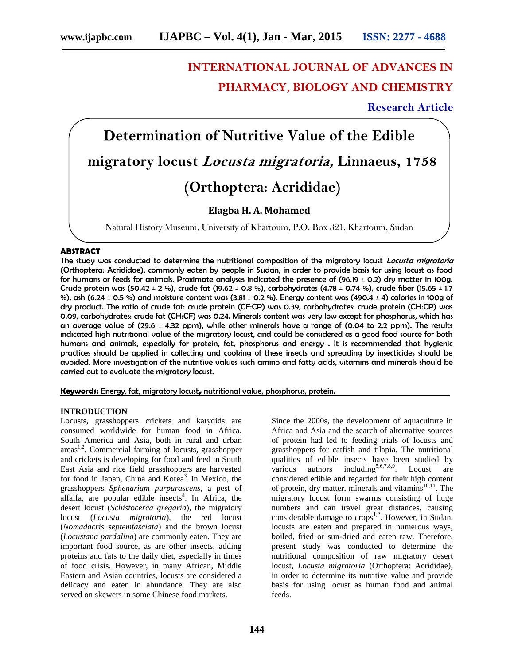# **INTERNATIONAL JOURNAL OF ADVANCES IN PHARMACY, BIOLOGY AND CHEMISTRY**

## **Research Article**

# **Determination of Nutritive Value of the Edible migratory locust** *Locusta migratoria,* **Linnaeus, 1758 (Orthoptera: Acrididae)**

### **Elagba H. A. Mohamed**

Natural History Museum, University of Khartoum, P.O. Box 321, Khartoum, Sudan

#### **ABSTRACT**

The study was conducted to determine the nutritional composition of the migratory locust *Locusta migratoria* (Orthoptera: Acrididae), commonly eaten by people in Sudan, in order to provide basis for using locust as food for humans or feeds for animals. Proximate analyses indicated the presence of (96.19  $\pm$  0.2) dry matter in 100g. Crude protein was (50.42 ± 2 %), crude fat (19.62 ± 0.8 %), carbohydrates (4.78 ± 0.74 %), crude fiber (15.65 ± 1.7 %), ash (6.24  $\pm$  0.5 %) and moisture content was (3.81  $\pm$  0.2 %). Energy content was (490.4  $\pm$  4) calories in 100g of dry product. The ratio of crude fat: crude protein (CF:CP) was 0.39, carbohydrates: crude protein (CH:CP) was 0.09, carbohydrates: crude fat (CH:CF) was 0.24. Minerals content was very low except for phosphorus, which has an average value of (29.6  $\pm$  4.32 ppm), while other minerals have a range of (0.04 to 2.2 ppm). The results indicated high nutritional value of the migratory locust, and could be considered as a good food source for both humans and animals, especially for protein, fat, phosphorus and energy . It is recommended that hygienic practices should be applied in collecting and cooking of these insects and spreading by insecticides should be avoided. More investigation of the nutritive values such amino and fatty acids, vitamins and minerals should be carried out to evaluate the migratory locust.

**Keywords:** Energy, fat, migratory locust**,** nutritional value, phosphorus, protein.

#### **INTRODUCTION**

Locusts, grasshoppers crickets and katydids are consumed worldwide for human food in Africa, South America and Asia, both in rural and urban  $area<sup>1,2</sup>$ . Commercial farming of locusts, grasshopper and crickets is developing for food and feed in South East Asia and rice field grasshoppers are harvested for food in Japan, China and Korea<sup>3</sup>. In Mexico, the grasshoppers *Sphenarium purpurascens*, a pest of alfalfa, are popular edible insects<sup>4</sup>. In Africa, the desert locust (*Schistocerca gregaria*), the migratory locust (*Locusta migratoria*), the red locust (*Nomadacris septemfasciata*) and the brown locust (*Locustana pardalina*) are commonly eaten. They are important food source, as are other insects, adding proteins and fats to the daily diet, especially in times of food crisis. However, in many African, Middle Eastern and Asian countries, locusts are considered a delicacy and eaten in abundance. They are also served on skewers in some Chinese food markets.

Since the 2000s, the development of aquaculture in Africa and Asia and the search of alternative sources of protein had led to feeding trials of locusts and grasshoppers for catfish and tilapia. The nutritional qualities of edible insects have been studied by various authors including<sup>5,6,7,8,9</sup>. Locust are considered edible and regarded for their high content of protein, dry matter, minerals and vitamins $10,11$ . The migratory locust form swarms consisting of huge numbers and can travel great distances, causing considerable damage to  $\text{crops}^{1,2}$ . However, in Sudan, locusts are eaten and prepared in numerous ways, boiled, fried or sun-dried and eaten raw. Therefore, present study was conducted to determine the nutritional composition of raw migratory desert locust, *Locusta migratoria* (Orthoptera: Acrididae), in order to determine its nutritive value and provide basis for using locust as human food and animal feeds.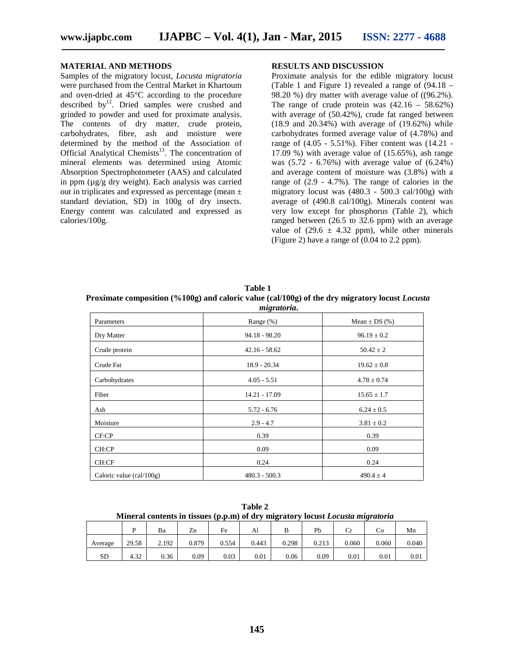#### **MATERIAL AND METHODS**

Samples of the migratory locust, *Locusta migratoria* were purchased from the Central Market in Khartoum and oven-dried at 45°C according to the procedure described by<sup>12</sup>. Dried samples were crushed and grinded to powder and used for proximate analysis. The contents of dry matter, crude protein, carbohydrates, fibre, ash and moisture were determined by the method of the Association of Official Analytical Chemists $13$ . The concentration of mineral elements was determined using Atomic Absorption Spectrophotometer (AAS) and calculated in ppm (µg/g dry weight). Each analysis was carried out in triplicates and expressed as percentage (mean ± standard deviation, SD) in 100g of dry insects. Energy content was calculated and expressed as calories/100g.

#### **RESULTS AND DISCUSSION**

Proximate analysis for the edible migratory locust (Table 1 and Figure 1) revealed a range of (94.18 – 98.20 %) dry matter with average value of ((96.2%). The range of crude protein was  $(42.16 - 58.62\%)$ with average of (50.42%), crude fat ranged between (18.9 and 20.34%) with average of (19.62%) while carbohydrates formed average value of (4.78%) and range of (4.05 - 5.51%). Fiber content was (14.21 - 17.09 %) with average value of (15.65%), ash range was  $(5.72 - 6.76%)$  with average value of  $(6.24%)$ and average content of moisture was (3.8%) with a range of (2.9 - 4.7%). The range of calories in the migratory locust was (480.3 - 500.3 cal/100g) with average of (490.8 cal/100g). Minerals content was very low except for phosphorus (Table 2), which ranged between (26.5 to 32.6 ppm) with an average value of  $(29.6 \pm 4.32 \text{ ppm})$ , while other minerals (Figure 2) have a range of (0.04 to 2.2 ppm).

**Table 1 Proximate composition (%100g) and caloric value (cal/100g) of the dry migratory locust** *Locusta migratoria***.**

|                          | ິ               |                   |
|--------------------------|-----------------|-------------------|
| Parameters               | Range $(\%)$    | Mean $\pm$ DS (%) |
| Dry Matter               | $94.18 - 98.20$ | $96.19 \pm 0.2$   |
| Crude protein            | $42.16 - 58.62$ | $50.42 \pm 2$     |
| Crude Fat                | $18.9 - 20.34$  | $19.62 \pm 0.8$   |
| Carbohydrates            | $4.05 - 5.51$   | $4.78 \pm 0.74$   |
| Fiber                    | $14.21 - 17.09$ | $15.65 \pm 1.7$   |
| Ash                      | $5.72 - 6.76$   | $6.24 \pm 0.5$    |
| Moisture                 | $2.9 - 4.7$     | $3.81 \pm 0.2$    |
| CF:CP                    | 0.39            | 0.39              |
| CH:CP                    | 0.09            | 0.09              |
| CH:CF                    | 0.24            | 0.24              |
| Caloric value (cal/100g) | $480.3 - 500.3$ | $490.4 \pm 4$     |

**Table 2 Mineral contents in tissues (p.p.m) of dry migratory locust** *Locusta migratoria*

|  |           |       |       |       | . .   |       |       |       |       |       |       |
|--|-----------|-------|-------|-------|-------|-------|-------|-------|-------|-------|-------|
|  |           |       | Ba    | Zn    | Fe    | Al    |       | Pb    | Ůľ    | Co    | Mn    |
|  | Average   | 29.58 | 2.192 | 0.879 | 0.554 | 0.443 | 0.298 | 0.213 | 0.060 | 0.060 | 0.040 |
|  | <b>SD</b> | 4.32  | 0.36  | 0.09  | 0.03  | 0.01  | 0.06  | 0.09  | 0.01  | 0.01  | 0.01  |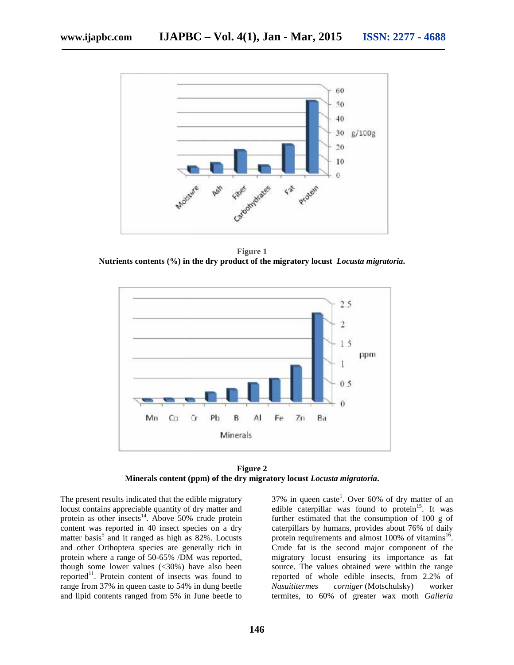

**Figure 1 Nutrients contents (%) in the dry product of the migratory locust** *Locusta migratoria***.**



**Figure 2 Minerals content (ppm) of the dry migratory locust** *Locusta migratoria***.**

The present results indicated that the edible migratory locust contains appreciable quantity of dry matter and protein as other insects<sup>14</sup>. Above 50% crude protein content was reported in 40 insect species on a dry matter basis<sup>5</sup> and it ranged as high as  $82\%$ . Locusts and other Orthoptera species are generally rich in protein where a range of 50-65% /DM was reported, though some lower values  $\left(\frac{<30\%}{\phantom{0}}\right)$  have also been reported<sup>11</sup>. Protein content of insects was found to<br>range from 37% in queen caste to 54% in dung beetle range from 37% in queen caste to 54% in dung beetle and lipid contents ranged from 5% in June beetle to esent results indicated that the edible migratory<br>contains appreciable quantity of dry matter and<br>i as other insects<sup>14</sup>. Above 50% crude protein<br>t was reported in 40 insect species on a dry<br>basis<sup>5</sup> and it ranged as high

37% in queen caste<sup>1</sup>. Over 60% of dry matter of an edible caterpillar was found to protein<sup>15</sup>. It was further estimated that the consumption of 100 g of edible caterpillar was found to protein<sup>15</sup>. It was<br>further estimated that the consumption of 100 g of<br>caterpillars by humans, provides about 76% of daily protein requirements and almost 100% of vitamins<sup>16</sup>. Crude fat is the second major component of the migratory locust ensuring its importance as fat source. The values obtained were within the range reported of whole edible insects, from 2.2% of *Nasuititermes corniger* (Motschulsky) worker termites, to 60% of greater wax moth *Galleria* indicated that the edible migratory<br>
reciable quantity of dry matter and<br>
edible caterpillar was found to protein<sup>15</sup>. It was<br>
sects<sup>14</sup>. Above 50% crude protein<br>
further estimated that the consumption of 100 g of<br>
ed in other insects<sup>14</sup>. Above 50% crude protein further estimated that the consumption of 100 g<br>
is reported in 40 insect species on a dry<br>
s<sup>5</sup> and it ranged as high as 82%. Locusts<br>
Orthoptera species are generally rich in Cr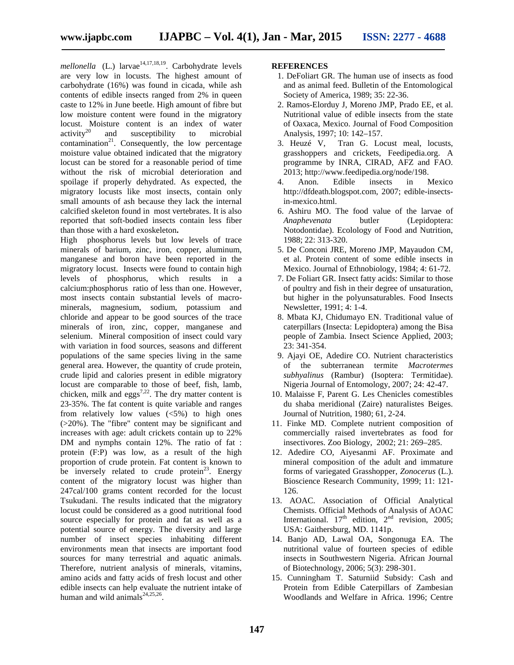*mellonella* (L.) larvae<sup>14,17,18,19</sup>. Carbohydrate levels are very low in locusts. The highest amount of carbohydrate (16%) was found in cicada, while ash contents of edible insects ranged from 2% in queen caste to 12% in June beetle. High amount of fibre but low moisture content were found in the migratory locust. Moisture content is an index of water  $\arct{activity}^{20}$  and susceptibility to microbial and susceptibility to microbial  $contamination<sup>21</sup>$ . Consequently, the low percentage moisture value obtained indicated that the migratory locust can be stored for a reasonable period of time without the risk of microbial deterioration and spoilage if properly dehydrated. As expected, the migratory locusts like most insects, contain only small amounts of ash because they lack the internal calcified skeleton found in most vertebrates. It is also reported that soft-bodied insects contain less fiber than those with a hard exoskeleton**.**

High phosphorus levels but low levels of trace minerals of barium, zinc, iron, copper, aluminum, manganese and boron have been reported in the migratory locust. Insects were found to contain high levels of phosphorus, which results in a calcium:phosphorus ratio of less than one. However, most insects contain substantial levels of macro minerals, magnesium, sodium, potassium and chloride and appear to be good sources of the trace minerals of iron, zinc, copper, manganese and selenium. Mineral composition of insect could vary with variation in food sources, seasons and different populations of the same species living in the same general area. However, the quantity of crude protein, crude lipid and calories present in edible migratory locust are comparable to those of beef, fish, lamb, chicken, milk and eggs<sup>7,22</sup>. The dry matter content is 23-35%. The fat content is quite variable and ranges from relatively low values  $\left\langle 5\% \right\rangle$  to high ones (>20%). The "fibre" content may be significant and increases with age: adult crickets contain up to 22% DM and nymphs contain 12%. The ratio of fat : protein (F:P) was low, as a result of the high proportion of crude protein. Fat content is known to be inversely related to crude protein $^{23}$ . Energy content of the migratory locust was higher than 247cal/100 grams content recorded for the locust Tsukudani. The results indicated that the migratory locust could be considered as a good nutritional food source especially for protein and fat as well as a potential source of energy. The diversity and large number of insect species inhabiting different environments mean that insects are important food sources for many terrestrial and aquatic animals. Therefore, nutrient analysis of minerals, vitamins, amino acids and fatty acids of fresh locust and other edible insects can help evaluate the nutrient intake of human and wild animals $^{24,25,26}$ .

#### **REFERENCES**

- 1. DeFoliart GR. The human use of insects as food and as animal feed. Bulletin of the Entomological Society of America, 1989; 35: 22-36.
- 2. Ramos-Elorduy J, Moreno JMP, Prado EE, et al. Nutritional value of edible insects from the state of Oaxaca, Mexico. Journal of Food Composition Analysis, 1997; 10: 142–157.
- 3. Heuzé V, Tran G. Locust meal, locusts, grasshoppers and crickets, Feedipedia.org. A programme by INRA, CIRAD, AFZ and FAO. 2013; http://www.feedipedia.org/node/198.
- 4. Anon. Edible insects in Mexico http://dfdeath.blogspot.com, 2007; edible-insectsin-mexico.html.
- 6. Ashiru MO. The food value of the larvae of *Anaphevenata* butler (Lepidoptera: Notodontidae). Ecolology of Food and Nutrition, 1988; 22: 313-320.
- 5. De Conconi JRE, Moreno JMP, Mayaudon CM, et al. Protein content of some edible insects in Mexico. Journal of Ethnobiology, 1984; 4: 61-72.
- 7. De Foliart GR. Insect fatty acids: Similar to those of poultry and fish in their degree of unsaturation, but higher in the polyunsaturables. Food Insects Newsletter, 1991; 4: 1-4.
- 8. Mbata KJ, Chidumayo EN. Traditional value of caterpillars (Insecta: Lepidoptera) among the Bisa people of Zambia. Insect Science Applied, 2003; 23: 341-354.
- 9. Ajayi OE, Adedire CO. Nutrient characteristics of the subterranean termite *Macrotermes subhyalinus* (Rambur) (Isoptera: Termitidae). Nigeria Journal of Entomology, 2007; 24: 42-47.
- 10. Malaisse F, Parent G. Les Chenicles comestibles du shaba meridional (Zaire) naturalistes Beiges. Journal of Nutrition, 1980; 61, 2-24.
- 11. Finke MD. Complete nutrient composition of commercially raised invertebrates as food for insectivores. Zoo Biology, 2002; 21: 269–285.
- 12. Adedire CO, Aiyesanmi AF. Proximate and mineral composition of the adult and immature forms of variegated Grasshopper, *Zonocerus* (L.). Bioscience Research Community, 1999; 11: 121- 126.
- 13. AOAC. Association of Official Analytical Chemists. Official Methods of Analysis of AOAC International.  $17<sup>th</sup>$  edition,  $2<sup>nd</sup>$  revision, 2005; USA: Gaithersburg, MD. 1141p.
- 14. Banjo AD, Lawal OA, Songonuga EA. The nutritional value of fourteen species of edible insects in Southwestern Nigeria. African Journal of Biotechnology, 2006; 5(3): 298-301.
- 15. Cunningham T. Saturniid Subsidy: Cash and Protein from Edible Caterpillars of Zambesian Woodlands and Welfare in Africa. 1996; Centre